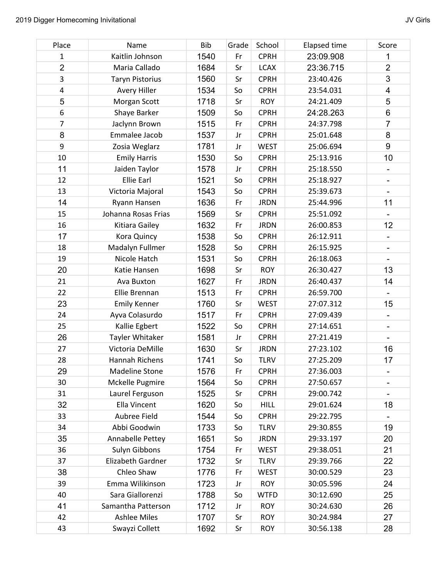| Place          | Name                   | <b>Bib</b> | Grade | School      | Elapsed time | Score                        |
|----------------|------------------------|------------|-------|-------------|--------------|------------------------------|
| 1              | Kaitlin Johnson        | 1540       | Fr    | <b>CPRH</b> | 23:09.908    | 1                            |
| $\overline{2}$ | Maria Callado          | 1684       | Sr    | <b>LCAX</b> | 23:36.715    | $\overline{2}$               |
| 3              | <b>Taryn Pistorius</b> | 1560       | Sr    | <b>CPRH</b> | 23:40.426    | 3                            |
| 4              | Avery Hiller           | 1534       | So    | <b>CPRH</b> | 23:54.031    | $\overline{\mathbf{4}}$      |
| 5              | Morgan Scott           | 1718       | Sr    | <b>ROY</b>  | 24:21.409    | 5                            |
| 6              | Shaye Barker           | 1509       | So    | <b>CPRH</b> | 24:28.263    | 6                            |
| 7              | Jaclynn Brown          | 1515       | Fr    | <b>CPRH</b> | 24:37.798    | $\overline{7}$               |
| 8              | Emmalee Jacob          | 1537       | Jr    | <b>CPRH</b> | 25:01.648    | 8                            |
| 9              | Zosia Weglarz          | 1781       | Jr    | <b>WEST</b> | 25:06.694    | 9                            |
| 10             | <b>Emily Harris</b>    | 1530       | So    | <b>CPRH</b> | 25:13.916    | 10                           |
| 11             | Jaiden Taylor          | 1578       | Jr    | <b>CPRH</b> | 25:18.550    |                              |
| 12             | Ellie Earl             | 1521       | So    | <b>CPRH</b> | 25:18.927    | $\qquad \qquad \blacksquare$ |
| 13             | Victoria Majoral       | 1543       | So    | <b>CPRH</b> | 25:39.673    |                              |
| 14             | Ryann Hansen           | 1636       | Fr    | <b>JRDN</b> | 25:44.996    | 11                           |
| 15             | Johanna Rosas Frias    | 1569       | Sr    | <b>CPRH</b> | 25:51.092    |                              |
| 16             | Kitiara Gailey         | 1632       | Fr    | <b>JRDN</b> | 26:00.853    | 12                           |
| 17             | Kora Quincy            | 1538       | So    | <b>CPRH</b> | 26:12.911    |                              |
| 18             | Madalyn Fullmer        | 1528       | So    | <b>CPRH</b> | 26:15.925    |                              |
| 19             | Nicole Hatch           | 1531       | So    | <b>CPRH</b> | 26:18.063    |                              |
| 20             | Katie Hansen           | 1698       | Sr    | <b>ROY</b>  | 26:30.427    | 13                           |
| 21             | Ava Buxton             | 1627       | Fr    | <b>JRDN</b> | 26:40.437    | 14                           |
| 22             | Ellie Brennan          | 1513       | Fr    | <b>CPRH</b> | 26:59.700    |                              |
| 23             | <b>Emily Kenner</b>    | 1760       | Sr    | <b>WEST</b> | 27:07.312    | 15                           |
| 24             | Ayva Colasurdo         | 1517       | Fr    | <b>CPRH</b> | 27:09.439    |                              |
| 25             | Kallie Egbert          | 1522       | So    | <b>CPRH</b> | 27:14.651    |                              |
| 26             | Tayler Whitaker        | 1581       | Jr    | <b>CPRH</b> | 27:21.419    |                              |
| 27             | Victoria DeMille       | 1630       | Sr    | <b>JRDN</b> | 27:23.102    | 16                           |
| 28             | Hannah Richens         | 1741       | So    | <b>TLRV</b> | 27:25.209    | 17                           |
| 29             | <b>Madeline Stone</b>  | 1576       | Fr    | <b>CPRH</b> | 27:36.003    |                              |
| 30             | Mckelle Pugmire        | 1564       | So    | <b>CPRH</b> | 27:50.657    |                              |
| 31             | Laurel Ferguson        | 1525       | Sr    | <b>CPRH</b> | 29:00.742    |                              |
| 32             | Ella Vincent           | 1620       | So    | <b>HILL</b> | 29:01.624    | 18                           |
| 33             | Aubree Field           | 1544       | So    | <b>CPRH</b> | 29:22.795    |                              |
| 34             | Abbi Goodwin           | 1733       | So    | <b>TLRV</b> | 29:30.855    | 19                           |
| 35             | Annabelle Pettey       | 1651       | So    | <b>JRDN</b> | 29:33.197    | 20                           |
| 36             | <b>Sulyn Gibbons</b>   | 1754       | Fr    | <b>WEST</b> | 29:38.051    | 21                           |
| 37             | Elizabeth Gardner      | 1732       | Sr    | <b>TLRV</b> | 29:39.766    | 22                           |
| 38             | Chleo Shaw             | 1776       | Fr    | <b>WEST</b> | 30:00.529    | 23                           |
| 39             | Emma Wilikinson        | 1723       | Jr    | <b>ROY</b>  | 30:05.596    | 24                           |
| 40             | Sara Giallorenzi       | 1788       | So    | <b>WTFD</b> | 30:12.690    | 25                           |
| 41             | Samantha Patterson     | 1712       | Jr    | <b>ROY</b>  | 30:24.630    | 26                           |
| 42             | <b>Ashlee Miles</b>    | 1707       | Sr    | <b>ROY</b>  | 30:24.984    | 27                           |

43 Swayzi Collett 1692 Sr ROY 30:56.138 28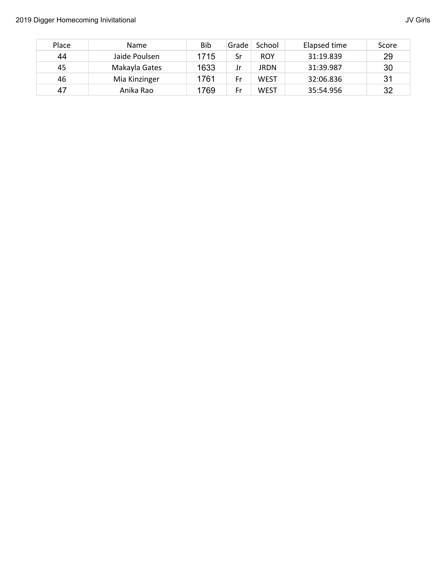| Place | Name          | Bib  | Grade | School     | Elapsed time | Score |
|-------|---------------|------|-------|------------|--------------|-------|
| 44    | Jaide Poulsen | 1715 | Sr    | <b>ROY</b> | 31:19.839    | 29    |
| 45    | Makayla Gates | 1633 | Jr    | JRDN       | 31:39.987    | 30    |
| 46    | Mia Kinzinger | 1761 | Fr    | WEST       | 32:06.836    | 31    |
| 47    | Anika Rao     | 1769 | Fr    | WEST       | 35:54.956    | 32    |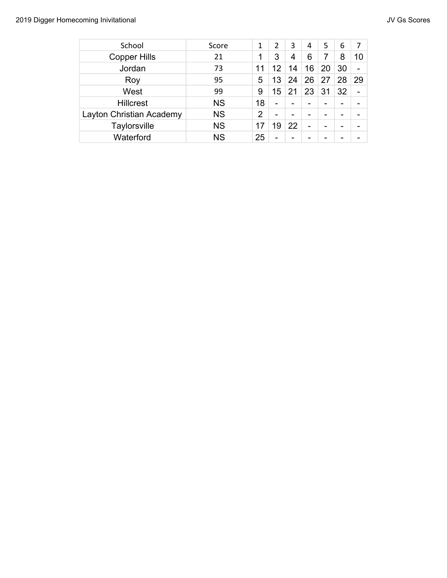| School                   | Score     |                | 2  | 3  | 4                        | 5  | 6                        | 7                        |
|--------------------------|-----------|----------------|----|----|--------------------------|----|--------------------------|--------------------------|
| <b>Copper Hills</b>      | 21        |                | 3  | 4  | 6                        | 7  | 8                        | 10                       |
| Jordan                   | 73        | 11             | 12 | 14 | 6                        | 20 | 30                       | -                        |
| Roy                      | 95        | 5              | 13 | 24 | 26                       | 27 | 28                       | 29                       |
| West                     | 99        | 9              | 5  | 21 | 23                       | 31 | 32                       | $\overline{\phantom{0}}$ |
| <b>Hillcrest</b>         | <b>NS</b> | 18             | -  | -  | $\overline{\phantom{0}}$ | -  | $\overline{\phantom{0}}$ |                          |
| Layton Christian Academy | <b>NS</b> | $\overline{2}$ | -  |    |                          |    |                          |                          |
| Taylorsville             | <b>NS</b> | 17             | 9  | 22 | $\overline{\phantom{0}}$ |    |                          |                          |
| Waterford                | <b>NS</b> | 25             |    |    |                          |    |                          |                          |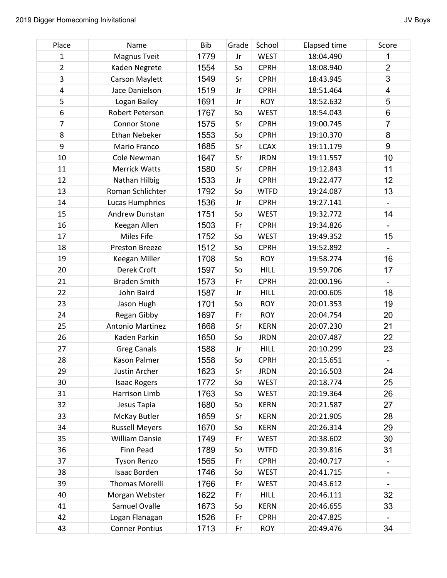| Place          | Name                    | <b>Bib</b> | Grade | School      | <b>Elapsed time</b> | Score                        |
|----------------|-------------------------|------------|-------|-------------|---------------------|------------------------------|
| $\mathbf 1$    | Magnus Tveit            | 1779       | Jr    | <b>WEST</b> | 18:04.490           | 1                            |
| $\overline{2}$ | Kaden Negrete           | 1554       | So    | <b>CPRH</b> | 18:08.940           | $\overline{2}$               |
| 3              | <b>Carson Maylett</b>   | 1549       | Sr    | <b>CPRH</b> | 18:43.945           | 3                            |
| 4              | Jace Danielson          | 1519       | Jr    | <b>CPRH</b> | 18:51.464           | $\overline{\mathbf{4}}$      |
| 5              | Logan Bailey            | 1691       | Jr    | <b>ROY</b>  | 18:52.632           | 5                            |
| 6              | Robert Peterson         | 1767       | So    | <b>WEST</b> | 18:54.043           | 6                            |
| 7              | <b>Connor Stone</b>     | 1575       | Sr    | <b>CPRH</b> | 19:00.745           | $\overline{7}$               |
| 8              | <b>Ethan Nebeker</b>    | 1553       | So    | <b>CPRH</b> | 19:10.370           | 8                            |
| 9              | Mario Franco            | 1685       | Sr    | <b>LCAX</b> | 19:11.179           | $\boldsymbol{9}$             |
| 10             | Cole Newman             | 1647       | Sr    | <b>JRDN</b> | 19:11.557           | 10                           |
| 11             | <b>Merrick Watts</b>    | 1580       | Sr    | <b>CPRH</b> | 19:12.843           | 11                           |
| 12             | Nathan Hilbig           | 1533       | Jr    | <b>CPRH</b> | 19:22.477           | 12                           |
| 13             | Roman Schlichter        | 1792       | So    | <b>WTFD</b> | 19:24.087           | 13                           |
| 14             | Lucas Humphries         | 1536       | Jr    | <b>CPRH</b> | 19:27.141           |                              |
| 15             | Andrew Dunstan          | 1751       | So    | <b>WEST</b> | 19:32.772           | 14                           |
| 16             | Keegan Allen            | 1503       | Fr    | <b>CPRH</b> | 19:34.826           |                              |
| 17             | Miles Fife              | 1752       | So    | <b>WEST</b> | 19:49.352           | 15                           |
| 18             | Preston Breeze          | 1512       | So    | <b>CPRH</b> | 19:52.892           | $\blacksquare$               |
| 19             | Keegan Miller           | 1708       | So    | <b>ROY</b>  | 19:58.274           | 16                           |
| 20             | Derek Croft             | 1597       | So    | <b>HILL</b> | 19:59.706           | 17                           |
| 21             | <b>Braden Smith</b>     | 1573       | Fr    | <b>CPRH</b> | 20:00.196           |                              |
| 22             | John Baird              | 1587       | Jr    | <b>HILL</b> | 20:00.605           | 18                           |
| 23             | Jason Hugh              | 1701       | So    | <b>ROY</b>  | 20:01.353           | 19                           |
| 24             | Regan Gibby             | 1697       | Fr    | <b>ROY</b>  | 20:04.754           | 20                           |
| 25             | <b>Antonio Martinez</b> | 1668       | Sr    | <b>KERN</b> | 20:07.230           | 21                           |
| 26             | Kaden Parkin            | 1650       | So    | <b>JRDN</b> | 20:07.487           | 22                           |
| 27             | <b>Greg Canals</b>      | 1588       | Jr    | <b>HILL</b> | 20:10.299           | 23                           |
| 28             | Kason Palmer            | 1558       | So    | <b>CPRH</b> | 20:15.651           |                              |
| 29             | Justin Archer           | 1623       | Sr    | <b>JRDN</b> | 20:16.503           | 24                           |
| 30             | <b>Isaac Rogers</b>     | 1772       | So    | <b>WEST</b> | 20:18.774           | 25                           |
| 31             | Harrison Limb           | 1763       | So    | <b>WEST</b> | 20:19.364           | 26                           |
| 32             | Jesus Tapia             | 1680       | So    | <b>KERN</b> | 20:21.587           | 27                           |
| 33             | McKay Butler            | 1659       | Sr    | <b>KERN</b> | 20:21.905           | 28                           |
| 34             | <b>Russell Meyers</b>   | 1670       | So    | <b>KERN</b> | 20:26.314           | 29                           |
| 35             | <b>William Dansie</b>   | 1749       | Fr    | <b>WEST</b> | 20:38.602           | 30                           |
| 36             | Finn Pead               | 1789       | So    | <b>WTFD</b> | 20:39.816           | 31                           |
| 37             | <b>Tyson Renzo</b>      | 1565       | Fr    | <b>CPRH</b> | 20:40.717           | $\qquad \qquad \blacksquare$ |
| 38             | Isaac Borden            | 1746       | So    | <b>WEST</b> | 20:41.715           |                              |
| 39             | Thomas Morelli          | 1766       | Fr    | <b>WEST</b> | 20:43.612           | $\overline{\phantom{a}}$     |
| 40             | Morgan Webster          | 1622       | Fr    | <b>HILL</b> | 20:46.111           | 32                           |
| 41             | Samuel Ovalle           | 1673       | So    | <b>KERN</b> | 20:46.655           | 33                           |
| 42             | Logan Flanagan          | 1526       | Fr    | <b>CPRH</b> | 20:47.825           |                              |
| 43             | <b>Conner Pontius</b>   | 1713       | Fr    | <b>ROY</b>  | 20:49.476           | 34                           |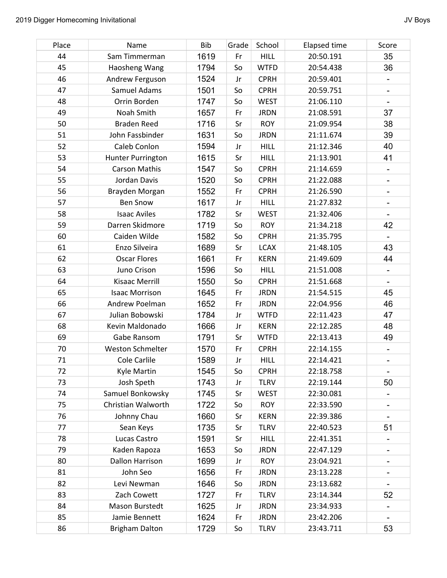| Place | Name                    | <b>Bib</b> | Grade | School      | <b>Elapsed time</b> | Score                    |
|-------|-------------------------|------------|-------|-------------|---------------------|--------------------------|
| 44    | Sam Timmerman           | 1619       | Fr    | <b>HILL</b> | 20:50.191           | 35                       |
| 45    | Haosheng Wang           | 1794       | So    | <b>WTFD</b> | 20:54.438           | 36                       |
| 46    | Andrew Ferguson         | 1524       | Jr    | <b>CPRH</b> | 20:59.401           | $\blacksquare$           |
| 47    | Samuel Adams            | 1501       | So    | <b>CPRH</b> | 20:59.751           | $\overline{\phantom{a}}$ |
| 48    | Orrin Borden            | 1747       | So    | <b>WEST</b> | 21:06.110           | $\overline{\phantom{a}}$ |
| 49    | Noah Smith              | 1657       | Fr    | <b>JRDN</b> | 21:08.591           | 37                       |
| 50    | <b>Braden Reed</b>      | 1716       | Sr    | <b>ROY</b>  | 21:09.954           | 38                       |
| 51    | John Fassbinder         | 1631       | So    | <b>JRDN</b> | 21:11.674           | 39                       |
| 52    | Caleb Conlon            | 1594       | Jr    | <b>HILL</b> | 21:12.346           | 40                       |
| 53    | Hunter Purrington       | 1615       | Sr    | <b>HILL</b> | 21:13.901           | 41                       |
| 54    | <b>Carson Mathis</b>    | 1547       | So    | <b>CPRH</b> | 21:14.659           | $\overline{\phantom{a}}$ |
| 55    | Jordan Davis            | 1520       | So    | <b>CPRH</b> | 21:22.088           | $\overline{\phantom{a}}$ |
| 56    | Brayden Morgan          | 1552       | Fr    | <b>CPRH</b> | 21:26.590           | $\overline{\phantom{a}}$ |
| 57    | <b>Ben Snow</b>         | 1617       | Jr    | <b>HILL</b> | 21:27.832           | -                        |
| 58    | <b>Isaac Aviles</b>     | 1782       | Sr    | <b>WEST</b> | 21:32.406           | $\overline{\phantom{a}}$ |
| 59    | Darren Skidmore         | 1719       | So    | <b>ROY</b>  | 21:34.218           | 42                       |
| 60    | Caiden Wilde            | 1582       | So    | <b>CPRH</b> | 21:35.795           |                          |
| 61    | Enzo Silveira           | 1689       | Sr    | <b>LCAX</b> | 21:48.105           | 43                       |
| 62    | <b>Oscar Flores</b>     | 1661       | Fr    | <b>KERN</b> | 21:49.609           | 44                       |
| 63    | Juno Crison             | 1596       | So    | <b>HILL</b> | 21:51.008           |                          |
| 64    | Kisaac Merrill          | 1550       | So    | <b>CPRH</b> | 21:51.668           | $\overline{\phantom{a}}$ |
| 65    | <b>Isaac Morrison</b>   | 1645       | Fr    | <b>JRDN</b> | 21:54.515           | 45                       |
| 66    | Andrew Poelman          | 1652       | Fr    | <b>JRDN</b> | 22:04.956           | 46                       |
| 67    | Julian Bobowski         | 1784       | Jr    | <b>WTFD</b> | 22:11.423           | 47                       |
| 68    | Kevin Maldonado         | 1666       | Jr    | <b>KERN</b> | 22:12.285           | 48                       |
| 69    | Gabe Ransom             | 1791       | Sr    | <b>WTFD</b> | 22:13.413           | 49                       |
| 70    | <b>Weston Schmelter</b> | 1570       | Fr    | <b>CPRH</b> | 22:14.155           |                          |
| 71    | <b>Cole Carlile</b>     | 1589       | Jr    | <b>HILL</b> | 22:14.421           | $\overline{\phantom{a}}$ |
| 72    | <b>Kyle Martin</b>      | 1545       | So    | <b>CPRH</b> | 22:18.758           |                          |
| 73    | Josh Speth              | 1743       | Jr    | <b>TLRV</b> | 22:19.144           | 50                       |
| 74    | Samuel Bonkowsky        | 1745       | Sr    | <b>WEST</b> | 22:30.081           | $\overline{\phantom{a}}$ |
| 75    | Christian Walworth      | 1722       | So    | <b>ROY</b>  | 22:33.590           |                          |
| 76    | Johnny Chau             | 1660       | Sr    | <b>KERN</b> | 22:39.386           |                          |
| 77    | Sean Keys               | 1735       | Sr    | <b>TLRV</b> | 22:40.523           | 51                       |
| 78    | Lucas Castro            | 1591       | Sr    | <b>HILL</b> | 22:41.351           | $\overline{\phantom{a}}$ |
| 79    | Kaden Rapoza            | 1653       | So    | <b>JRDN</b> | 22:47.129           |                          |
| 80    | Dallon Harrison         | 1699       | Jr    | <b>ROY</b>  | 23:04.921           | -                        |
| 81    | John Seo                | 1656       | Fr    | <b>JRDN</b> | 23:13.228           | -                        |
| 82    | Levi Newman             | 1646       | So    | <b>JRDN</b> | 23:13.682           |                          |
| 83    | Zach Cowett             | 1727       | Fr    | <b>TLRV</b> | 23:14.344           | 52                       |
| 84    | Mason Burstedt          | 1625       | Jr    | <b>JRDN</b> | 23:34.933           |                          |
| 85    | Jamie Bennett           | 1624       | Fr    | <b>JRDN</b> | 23:42.206           | $\overline{\phantom{a}}$ |
| 86    | <b>Brigham Dalton</b>   | 1729       | So    | <b>TLRV</b> | 23:43.711           | 53                       |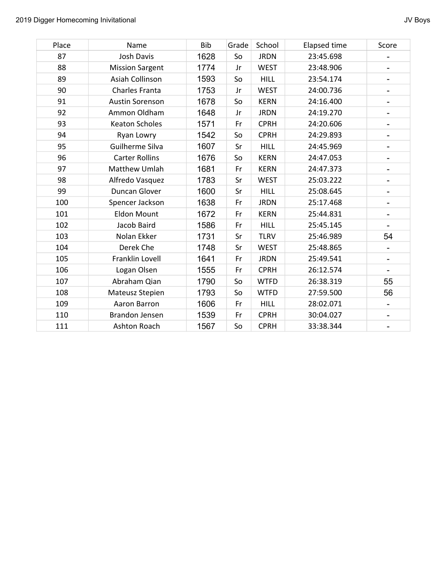| Place | Name                   | Bib  | Grade | School      | Elapsed time | Score                        |
|-------|------------------------|------|-------|-------------|--------------|------------------------------|
| 87    | Josh Davis             | 1628 | So    | <b>JRDN</b> | 23:45.698    | -                            |
| 88    | <b>Mission Sargent</b> | 1774 | Jr    | <b>WEST</b> | 23:48.906    | -                            |
| 89    | Asiah Collinson        | 1593 | So    | <b>HILL</b> | 23:54.174    | -                            |
| 90    | Charles Franta         | 1753 | Jr    | <b>WEST</b> | 24:00.736    | -                            |
| 91    | Austin Sorenson        | 1678 | So    | <b>KERN</b> | 24:16.400    | $\overline{\phantom{0}}$     |
| 92    | Ammon Oldham           | 1648 | Jr    | <b>JRDN</b> | 24:19.270    | $\qquad \qquad \blacksquare$ |
| 93    | <b>Keaton Scholes</b>  | 1571 | Fr    | <b>CPRH</b> | 24:20.606    | -                            |
| 94    | Ryan Lowry             | 1542 | So    | <b>CPRH</b> | 24:29.893    | -                            |
| 95    | Guilherme Silva        | 1607 | Sr    | <b>HILL</b> | 24:45.969    | $\overline{\phantom{0}}$     |
| 96    | <b>Carter Rollins</b>  | 1676 | So    | <b>KERN</b> | 24:47.053    | $\overline{\phantom{0}}$     |
| 97    | Matthew Umlah          | 1681 | Fr    | <b>KERN</b> | 24:47.373    | -                            |
| 98    | Alfredo Vasquez        | 1783 | Sr    | <b>WEST</b> | 25:03.222    | -                            |
| 99    | Duncan Glover          | 1600 | Sr    | <b>HILL</b> | 25:08.645    | $\qquad \qquad \blacksquare$ |
| 100   | Spencer Jackson        | 1638 | Fr    | <b>JRDN</b> | 25:17.468    | $\qquad \qquad \blacksquare$ |
| 101   | <b>Eldon Mount</b>     | 1672 | Fr    | <b>KERN</b> | 25:44.831    | $\qquad \qquad \blacksquare$ |
| 102   | Jacob Baird            | 1586 | Fr    | <b>HILL</b> | 25:45.145    | $\overline{\phantom{a}}$     |
| 103   | Nolan Ekker            | 1731 | Sr    | <b>TLRV</b> | 25:46.989    | 54                           |
| 104   | Derek Che              | 1748 | Sr    | <b>WEST</b> | 25:48.865    | -                            |
| 105   | Franklin Lovell        | 1641 | Fr    | <b>JRDN</b> | 25:49.541    | -                            |
| 106   | Logan Olsen            | 1555 | Fr    | <b>CPRH</b> | 26:12.574    |                              |
| 107   | Abraham Qian           | 1790 | So    | <b>WTFD</b> | 26:38.319    | 55                           |
| 108   | Mateusz Stepien        | 1793 | So    | <b>WTFD</b> | 27:59.500    | 56                           |
| 109   | Aaron Barron           | 1606 | Fr    | <b>HILL</b> | 28:02.071    | $\overline{\phantom{0}}$     |
| 110   | <b>Brandon Jensen</b>  | 1539 | Fr    | <b>CPRH</b> | 30:04.027    | -                            |
| 111   | Ashton Roach           | 1567 | So    | <b>CPRH</b> | 33:38.344    | -                            |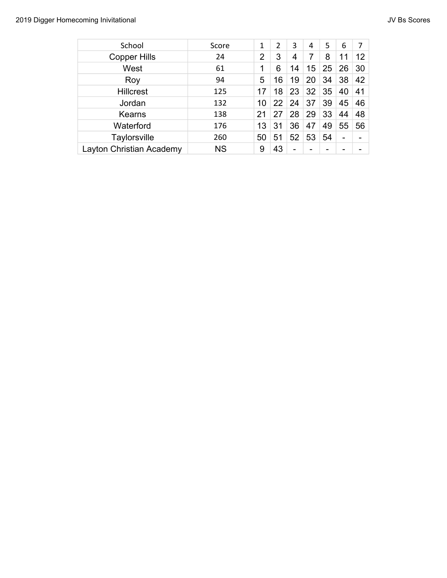| School                   | Score     | 1              | $\overline{2}$ | 3  | 4  | 5  | 6  | 7  |
|--------------------------|-----------|----------------|----------------|----|----|----|----|----|
| <b>Copper Hills</b>      | 24        | $\overline{2}$ | 3              | 4  | 7  | 8  | 11 | 12 |
| West                     | 61        | 1              | 6              | 14 | 15 | 25 | 26 | 30 |
| Roy                      | 94        | 5              | 16             | 19 | 20 | 34 | 38 | 42 |
| <b>Hillcrest</b>         | 125       | 17             | 18             | 23 | 32 | 35 | 40 | 41 |
| Jordan                   | 132       | 10             | 22             | 24 | 37 | 39 | 45 | 46 |
| Kearns                   | 138       | 21             | 27             | 28 | 29 | 33 | 44 | 48 |
| Waterford                | 176       | 13             | 31             | 36 | 47 | 49 | 55 | 56 |
| Taylorsville             | 260       | 50             | 51             | 52 | 53 | 54 | -  |    |
| Layton Christian Academy | <b>NS</b> | 9              | 43             | -  |    |    |    |    |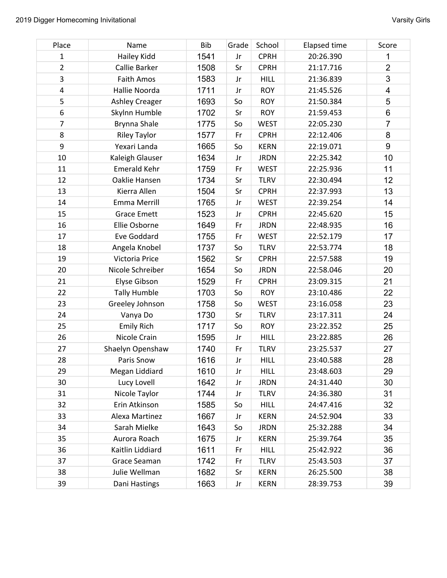| Place                   | Name                  | Bib  | Grade | School      | <b>Elapsed time</b> | Score                   |
|-------------------------|-----------------------|------|-------|-------------|---------------------|-------------------------|
| 1                       | Hailey Kidd           | 1541 | Jr    | <b>CPRH</b> | 20:26.390           | 1                       |
| $\overline{2}$          | Callie Barker         | 1508 | Sr    | <b>CPRH</b> | 21:17.716           | $\overline{2}$          |
| 3                       | Faith Amos            | 1583 | Jr    | <b>HILL</b> | 21:36.839           | 3                       |
| $\overline{\mathbf{4}}$ | Hallie Noorda         | 1711 | Jr    | <b>ROY</b>  | 21:45.526           | $\overline{\mathbf{4}}$ |
| 5                       | <b>Ashley Creager</b> | 1693 | So    | <b>ROY</b>  | 21:50.384           | 5                       |
| $\boldsymbol{6}$        | Skylnn Humble         | 1702 | Sr    | <b>ROY</b>  | 21:59.453           | 6                       |
| $\overline{7}$          | Brynna Shale          | 1775 | So    | <b>WEST</b> | 22:05.230           | $\overline{7}$          |
| 8                       | <b>Riley Taylor</b>   | 1577 | Fr    | <b>CPRH</b> | 22:12.406           | 8                       |
| 9                       | Yexari Landa          | 1665 | So    | <b>KERN</b> | 22:19.071           | 9                       |
| 10                      | Kaleigh Glauser       | 1634 | Jr    | <b>JRDN</b> | 22:25.342           | 10                      |
| 11                      | <b>Emerald Kehr</b>   | 1759 | Fr    | <b>WEST</b> | 22:25.936           | 11                      |
| 12                      | Oaklie Hansen         | 1734 | Sr    | <b>TLRV</b> | 22:30.494           | 12                      |
| 13                      | Kierra Allen          | 1504 | Sr    | <b>CPRH</b> | 22:37.993           | 13                      |
| 14                      | Emma Merrill          | 1765 | Jr    | <b>WEST</b> | 22:39.254           | 14                      |
| 15                      | <b>Grace Emett</b>    | 1523 | Jr    | <b>CPRH</b> | 22:45.620           | 15                      |
| 16                      | Ellie Osborne         | 1649 | Fr    | <b>JRDN</b> | 22:48.935           | 16                      |
| 17                      | Eve Goddard           | 1755 | Fr    | <b>WEST</b> | 22:52.179           | 17                      |
| 18                      | Angela Knobel         | 1737 | So    | <b>TLRV</b> | 22:53.774           | 18                      |
| 19                      | Victoria Price        | 1562 | Sr    | <b>CPRH</b> | 22:57.588           | 19                      |
| 20                      | Nicole Schreiber      | 1654 | So    | <b>JRDN</b> | 22:58.046           | 20                      |
| 21                      | Elyse Gibson          | 1529 | Fr    | <b>CPRH</b> | 23:09.315           | 21                      |
| 22                      | <b>Tally Humble</b>   | 1703 | So    | <b>ROY</b>  | 23:10.486           | 22                      |
| 23                      | Greeley Johnson       | 1758 | So    | <b>WEST</b> | 23:16.058           | 23                      |
| 24                      | Vanya Do              | 1730 | Sr    | <b>TLRV</b> | 23:17.311           | 24                      |
| 25                      | <b>Emily Rich</b>     | 1717 | So    | <b>ROY</b>  | 23:22.352           | 25                      |
| 26                      | Nicole Crain          | 1595 | Jr    | <b>HILL</b> | 23:22.885           | 26                      |
| 27                      | Shaelyn Openshaw      | 1740 | Fr    | <b>TLRV</b> | 23:25.537           | 27                      |
| 28                      | Paris Snow            | 1616 | Jr    | <b>HILL</b> | 23:40.588           | 28                      |
| 29                      | Megan Liddiard        | 1610 | Jr    | <b>HILL</b> | 23:48.603           | 29                      |
| 30                      | Lucy Lovell           | 1642 | Jr    | <b>JRDN</b> | 24:31.440           | 30                      |
| 31                      | Nicole Taylor         | 1744 | Jr    | <b>TLRV</b> | 24:36.380           | 31                      |
| 32                      | Erin Atkinson         | 1585 | So    | <b>HILL</b> | 24:47.416           | 32                      |
| 33                      | Alexa Martinez        | 1667 | Jr    | <b>KERN</b> | 24:52.904           | 33                      |
| 34                      | Sarah Mielke          | 1643 | So    | <b>JRDN</b> | 25:32.288           | 34                      |
| 35                      | Aurora Roach          | 1675 | Jr    | <b>KERN</b> | 25:39.764           | 35                      |
| 36                      | Kaitlin Liddiard      | 1611 | Fr    | <b>HILL</b> | 25:42.922           | 36                      |
| 37                      | Grace Seaman          | 1742 | Fr    | <b>TLRV</b> | 25:43.503           | 37                      |
| 38                      | Julie Wellman         | 1682 | Sr    | <b>KERN</b> | 26:25.500           | 38                      |
| 39                      | Dani Hastings         | 1663 | Jr    | <b>KERN</b> | 28:39.753           | 39                      |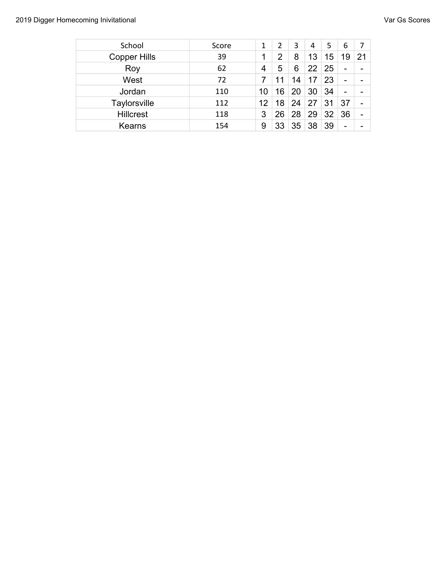| School              | Score | 1  | 2  | 3  | 4  | 5  | 6                        | 7                        |
|---------------------|-------|----|----|----|----|----|--------------------------|--------------------------|
| <b>Copper Hills</b> | 39    | 1  | 2  | 8  | 13 | 15 | 19                       | 21                       |
| Roy                 | 62    | 4  | 5  | 6  | 22 | 25 | $\overline{\phantom{0}}$ |                          |
| West                | 72    |    |    | 14 |    | 23 | $\overline{\phantom{a}}$ |                          |
| Jordan              | 110   | 10 | 16 | 20 | 30 | 34 | $\qquad \qquad$          |                          |
| <b>Taylorsville</b> | 112   | 12 | 18 | 24 | 27 | 31 | 37                       | $\overline{\phantom{0}}$ |
| <b>Hillcrest</b>    | 118   | 3  | 26 | 28 | 29 | 32 | 36                       | $\overline{\phantom{a}}$ |
| Kearns              | 154   | 9  | 33 | 35 | 38 | 39 | $\qquad \qquad$          |                          |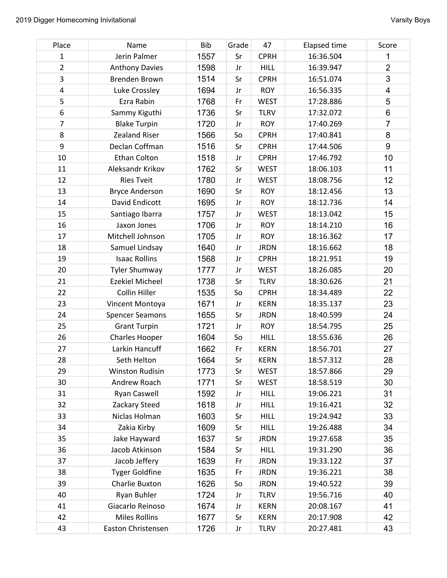| Place            | Name                   | Bib  | Grade | 47          | <b>Elapsed time</b> | Score                   |
|------------------|------------------------|------|-------|-------------|---------------------|-------------------------|
| 1                | Jerin Palmer           | 1557 | Sr    | <b>CPRH</b> | 16:36.504           | 1                       |
| $\overline{2}$   | <b>Anthony Davies</b>  | 1598 | Jr    | <b>HILL</b> | 16:39.947           | $\overline{2}$          |
| 3                | <b>Brenden Brown</b>   | 1514 | Sr    | <b>CPRH</b> | 16:51.074           | 3                       |
| $\overline{4}$   | Luke Crossley          | 1694 | Jr    | <b>ROY</b>  | 16:56.335           | $\overline{\mathbf{4}}$ |
| 5                | Ezra Rabin             | 1768 | Fr    | <b>WEST</b> | 17:28.886           | 5                       |
| $\boldsymbol{6}$ | Sammy Kiguthi          | 1736 | Sr    | <b>TLRV</b> | 17:32.072           | 6                       |
| $\overline{7}$   | <b>Blake Turpin</b>    | 1720 | Jr    | <b>ROY</b>  | 17:40.269           | $\overline{7}$          |
| 8                | <b>Zealand Riser</b>   | 1566 | So    | <b>CPRH</b> | 17:40.841           | 8                       |
| 9                | Declan Coffman         | 1516 | Sr    | <b>CPRH</b> | 17:44.506           | 9                       |
| 10               | <b>Ethan Colton</b>    | 1518 | Jr    | <b>CPRH</b> | 17:46.792           | 10                      |
| 11               | Aleksandr Krikov       | 1762 | Sr    | <b>WEST</b> | 18:06.103           | 11                      |
| 12               | <b>Ries Tveit</b>      | 1780 | Jr    | <b>WEST</b> | 18:08.756           | 12                      |
| 13               | <b>Bryce Anderson</b>  | 1690 | Sr    | <b>ROY</b>  | 18:12.456           | 13                      |
| 14               | David Endicott         | 1695 | Jr    | <b>ROY</b>  | 18:12.736           | 14                      |
| 15               | Santiago Ibarra        | 1757 | Jr    | <b>WEST</b> | 18:13.042           | 15                      |
| 16               | Jaxon Jones            | 1706 | Jr    | <b>ROY</b>  | 18:14.210           | 16                      |
| 17               | Mitchell Johnson       | 1705 | Jr    | <b>ROY</b>  | 18:16.362           | 17                      |
| 18               | Samuel Lindsay         | 1640 | Jr    | <b>JRDN</b> | 18:16.662           | 18                      |
| 19               | <b>Isaac Rollins</b>   | 1568 | Jr    | <b>CPRH</b> | 18:21.951           | 19                      |
| 20               | <b>Tyler Shumway</b>   | 1777 | Jr    | <b>WEST</b> | 18:26.085           | 20                      |
| 21               | <b>Ezekiel Micheel</b> | 1738 | Sr    | <b>TLRV</b> | 18:30.626           | 21                      |
| 22               | Collin Hiller          | 1535 | So    | <b>CPRH</b> | 18:34.489           | 22                      |
| 23               | Vincent Montoya        | 1671 | Jr    | <b>KERN</b> | 18:35.137           | 23                      |
| 24               | <b>Spencer Seamons</b> | 1655 | Sr    | <b>JRDN</b> | 18:40.599           | 24                      |
| 25               | <b>Grant Turpin</b>    | 1721 | Jr    | <b>ROY</b>  | 18:54.795           | 25                      |
| 26               | Charles Hooper         | 1604 | So    | <b>HILL</b> | 18:55.636           | 26                      |
| 27               | Larkin Hancuff         | 1662 | Fr    | <b>KERN</b> | 18:56.701           | 27                      |
| 28               | Seth Helton            | 1664 | Sr    | <b>KERN</b> | 18:57.312           | 28                      |
| 29               | <b>Winston Rudisin</b> | 1773 | Sr    | <b>WEST</b> | 18:57.866           | 29                      |
| 30               | Andrew Roach           | 1771 | Sr    | <b>WEST</b> | 18:58.519           | 30                      |
| 31               | Ryan Caswell           | 1592 | Jr    | <b>HILL</b> | 19:06.221           | 31                      |
| 32               | Zackary Steed          | 1618 | Jr    | <b>HILL</b> | 19:16.421           | 32                      |
| 33               | Niclas Holman          | 1603 | Sr    | <b>HILL</b> | 19:24.942           | 33                      |
| 34               | Zakia Kirby            | 1609 | Sr    | <b>HILL</b> | 19:26.488           | 34                      |
| 35               | Jake Hayward           | 1637 | Sr    | <b>JRDN</b> | 19:27.658           | 35                      |
| 36               | Jacob Atkinson         | 1584 | Sr    | <b>HILL</b> | 19:31.290           | 36                      |
| 37               | Jacob Jeffery          | 1639 | Fr    | <b>JRDN</b> | 19:33.122           | 37                      |
| 38               | <b>Tyger Goldfine</b>  | 1635 | Fr    | <b>JRDN</b> | 19:36.221           | 38                      |
| 39               | Charlie Buxton         | 1626 | So    | <b>JRDN</b> | 19:40.522           | 39                      |
| 40               | Ryan Buhler            | 1724 | Jr    | <b>TLRV</b> | 19:56.716           | 40                      |
| 41               | Giacarlo Reinoso       | 1674 | Jr    | <b>KERN</b> | 20:08.167           | 41                      |
| 42               | <b>Miles Rollins</b>   | 1677 | Sr    | <b>KERN</b> | 20:17.908           | 42                      |
| 43               | Easton Christensen     | 1726 | Jr    | <b>TLRV</b> | 20:27.481           | 43                      |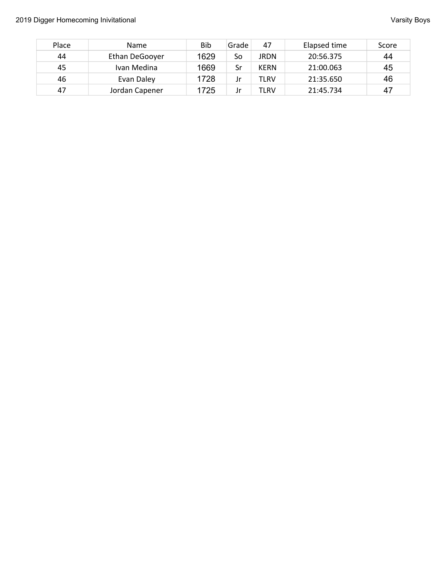| Place | Name           | Bib  | Grade | 47          | Elapsed time | Score |
|-------|----------------|------|-------|-------------|--------------|-------|
| 44    | Ethan DeGooyer | 1629 | So    | JRDN        | 20:56.375    | 44    |
| 45    | Ivan Medina    | 1669 | Sr    | <b>KERN</b> | 21:00.063    | 45    |
| 46    | Evan Daley     | 1728 |       | TLRV        | 21:35.650    | 46    |
| 47    | Jordan Capener | 1725 |       | TLRV        | 21:45.734    | 47    |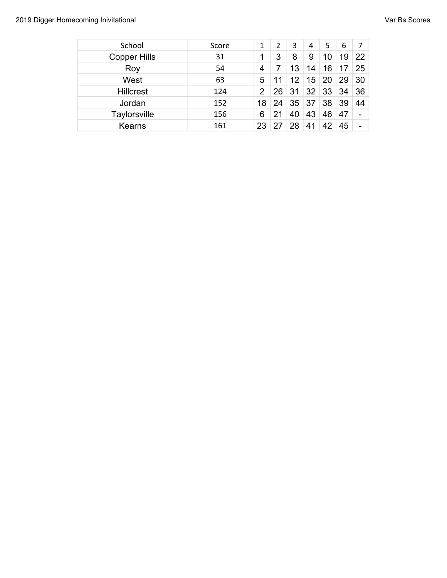| School              | Score |                | 2  | 3  | 4  | 5  | 6  | 7               |
|---------------------|-------|----------------|----|----|----|----|----|-----------------|
| <b>Copper Hills</b> | 31    |                | 3  | 8  | 9  | 10 | 19 | 22              |
| Roy                 | 54    | 4              |    | 13 | 14 | 16 | 17 | 25              |
| West                | 63    | 5              |    | 12 | 15 | 20 | 29 | 30              |
| <b>Hillcrest</b>    | 124   | $\overline{2}$ | 26 | 31 | 32 | 33 | 34 | 36              |
| Jordan              | 152   | 18             | 24 | 35 | 37 | 38 | 39 | 44              |
| Taylorsville        | 156   | 6              |    | 40 | 43 | 46 | 47 |                 |
| <b>Kearns</b>       | 161   |                |    | 28 | 41 | 42 | 45 | $\qquad \qquad$ |